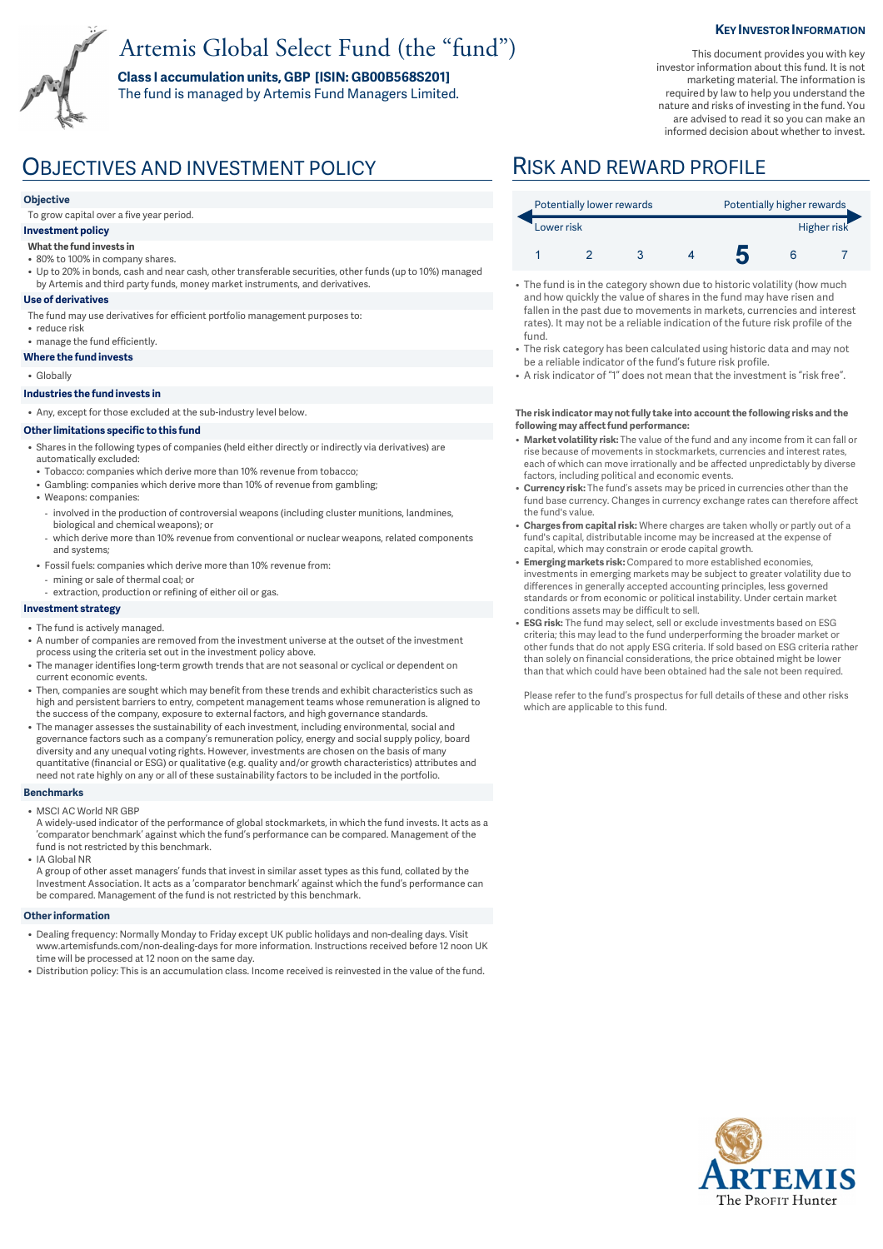# Artemis Global Select Fund (the "fund")

**Class I accumulation units, GBP [ISIN: GB00B568S201]**  The fund is managed by Artemis Fund Managers Limited.

### **KEY INVESTOR INFORMATION**

This document provides you with key investor information about this fund. It is not marketing material. The information is required by law to help you understand the nature and risks of investing in the fund. You are advised to read it so you can make an informed decision about whether to invest.

## OBJECTIVES AND INVESTMENT POLICY RISK AND REWARD PROFILE

#### **Objective**

To grow capital over a five year period.

#### **Investment policy**

- **What the fund invests in**
- 80% to 100% in company shares.
- Up to 20% in bonds, cash and near cash, other transferable securities, other funds (up to 10%) managed by Artemis and third party funds, money market instruments, and derivatives.

#### **Use of derivatives**

- The fund may use derivatives for efficient portfolio management purposes to:
- reduce risk
- manage the fund efficiently. **Where the fund invests**

### • Globally

## **Industries the fund invests in**

• Any, except for those excluded at the sub-industry level below.

#### **Other limitations specific to this fund**

- Shares in the following types of companies (held either directly or indirectly via derivatives) are automatically excluded:
- Tobacco: companies which derive more than 10% revenue from tobacco;
- Gambling: companies which derive more than 10% of revenue from gambling;
- Weapons: companies:
- involved in the production of controversial weapons (including cluster munitions, landmines, biological and chemical weapons); or
- which derive more than 10% revenue from conventional or nuclear weapons, related components and systems;
- Fossil fuels: companies which derive more than 10% revenue from:
	- mining or sale of thermal coal; or
	- extraction, production or refining of either oil or gas.

### **Investment strategy**

- The fund is actively managed.
- A number of companies are removed from the investment universe at the outset of the investment process using the criteria set out in the investment policy above.
- The manager identifies long-term growth trends that are not seasonal or cyclical or dependent on current economic events.
- Then, companies are sought which may benefit from these trends and exhibit characteristics such as high and persistent barriers to entry, competent management teams whose remuneration is aligned to the success of the company, exposure to external factors, and high governance standards.
- The manager assesses the sustainability of each investment, including environmental, social and governance factors such as a company's remuneration policy, energy and social supply policy, board diversity and any unequal voting rights. However, investments are chosen on the basis of many quantitative (financial or ESG) or qualitative (e.g. quality and/or growth characteristics) attributes and need not rate highly on any or all of these sustainability factors to be included in the portfolio.

#### **Benchmarks**

- MSCI AC World NR GBP
- A widely-used indicator of the performance of global stockmarkets, in which the fund invests. It acts as a 'comparator benchmark' against which the fund's performance can be compared. Management of the fund is not restricted by this benchmark. • IA Global NR
- A group of other asset managers' funds that invest in similar asset types as this fund, collated by the Investment Association. It acts as a 'comparator benchmark' against which the fund's performance can be compared. Management of the fund is not restricted by this benchmark.

#### **Other information**

- Dealing frequency: Normally Monday to Friday except UK public holidays and non-dealing days. Visit www.artemisfunds.com/non-dealing-days for more information. Instructions received before 12 noon UK time will be processed at 12 noon on the same day.
- Distribution policy: This is an accumulation class. Income received is reinvested in the value of the fund.

| Potentially lower rewards |  |  |  | Potentially higher rewards |  |  |
|---------------------------|--|--|--|----------------------------|--|--|
| Lower risk                |  |  |  | Higher risk                |  |  |
|                           |  |  |  |                            |  |  |

- The fund is in the category shown due to historic volatility (how much and how quickly the value of shares in the fund may have risen and fallen in the past due to movements in markets, currencies and interest rates). It may not be a reliable indication of the future risk profile of the fund.
- The risk category has been calculated using historic data and may not be a reliable indicator of the fund's future risk profile.
- A risk indicator of "1" does not mean that the investment is "risk free".

#### **The risk indicator may not fully take into account the following risks and the following may affect fund performance:**

- **Market volatility risk:** The value of the fund and any income from it can fall or rise because of movements in stockmarkets, currencies and interest rates, each of which can move irrationally and be affected unpredictably by diverse factors, including political and economic events.
- **Currency risk:** The fund's assets may be priced in currencies other than the fund base currency. Changes in currency exchange rates can therefore affect the fund's value.
- **Charges from capital risk:** Where charges are taken wholly or partly out of a fund's capital, distributable income may be increased at the expense of capital, which may constrain or erode capital growth.
- **Emerging markets risk:** Compared to more established economies, investments in emerging markets may be subject to greater volatility due to differences in generally accepted accounting principles, less governed standards or from economic or political instability. Under certain market conditions assets may be difficult to sell.
- **ESG risk:** The fund may select, sell or exclude investments based on ESG criteria; this may lead to the fund underperforming the broader market or other funds that do not apply ESG criteria. If sold based on ESG criteria rather than solely on financial considerations, the price obtained might be lower than that which could have been obtained had the sale not been required.

Please refer to the fund's prospectus for full details of these and other risks which are applicable to this fund.